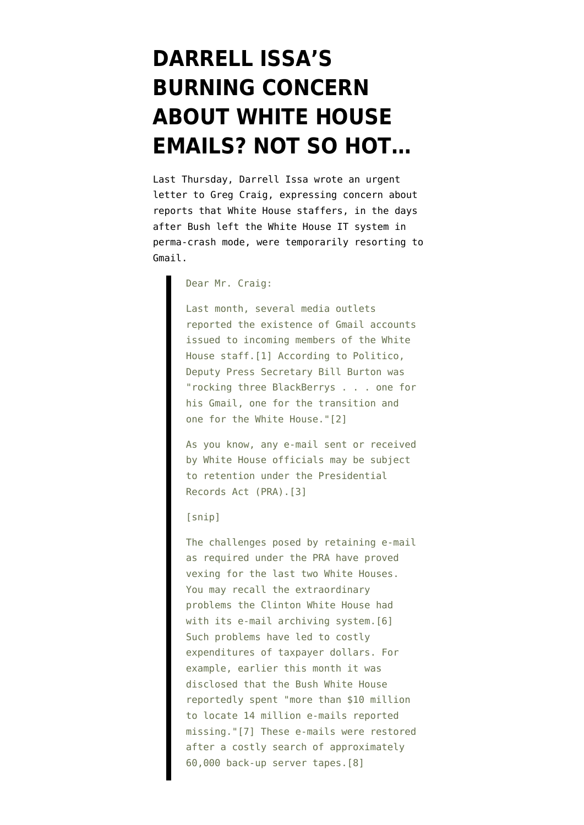## **[DARRELL ISSA'S](https://www.emptywheel.net/2009/02/25/darrell-issas-burning-concern-about-white-house-emails-not-so-hot/) [BURNING CONCERN](https://www.emptywheel.net/2009/02/25/darrell-issas-burning-concern-about-white-house-emails-not-so-hot/) [ABOUT WHITE HOUSE](https://www.emptywheel.net/2009/02/25/darrell-issas-burning-concern-about-white-house-emails-not-so-hot/) [EMAILS? NOT SO HOT…](https://www.emptywheel.net/2009/02/25/darrell-issas-burning-concern-about-white-house-emails-not-so-hot/)**

Last Thursday, Darrell Issa wrote an [urgent](http://republicans.oversight.house.gov/News/PRArticle.aspx?NewsID=460m) [letter](http://republicans.oversight.house.gov/News/PRArticle.aspx?NewsID=460m) to Greg Craig, expressing concern about reports that White House staffers, in the days after Bush left the White House IT system in perma-crash mode, were temporarily resorting to Gmail.

Dear Mr. Craig:

Last month, several media outlets reported the existence of Gmail accounts issued to incoming members of the White House staff.[1] According to Politico, Deputy Press Secretary Bill Burton was "rocking three BlackBerrys . . . one for his Gmail, one for the transition and one for the White House."[2]

As you know, any e-mail sent or received by White House officials may be subject to retention under the Presidential Records Act (PRA).[3]

[snip]

The challenges posed by retaining e-mail as required under the PRA have proved vexing for the last two White Houses. You may recall the extraordinary problems the Clinton White House had with its e-mail archiving system. [6] Such problems have led to costly expenditures of taxpayer dollars. For example, earlier this month it was disclosed that the Bush White House reportedly spent "more than \$10 million to locate 14 million e-mails reported missing."[7] These e-mails were restored after a costly search of approximately 60,000 back-up server tapes.[8]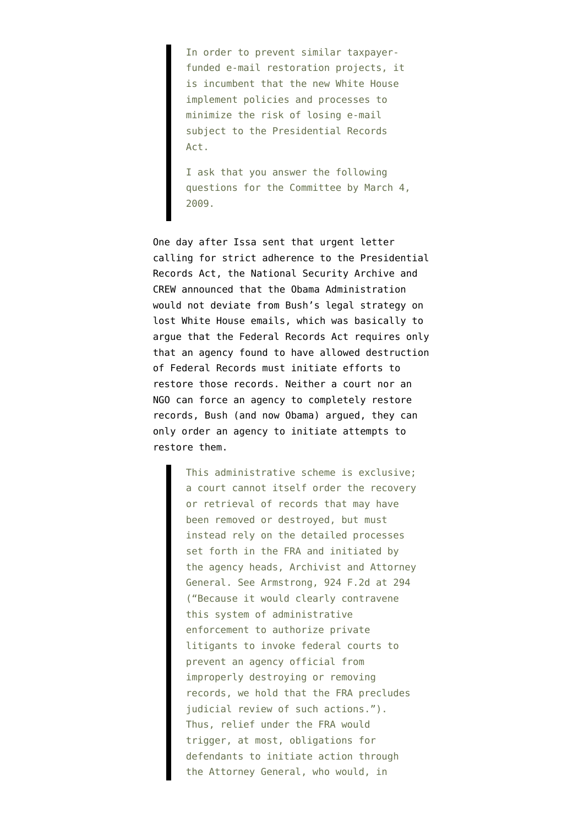In order to prevent similar taxpayerfunded e-mail restoration projects, it is incumbent that the new White House implement policies and processes to minimize the risk of losing e-mail subject to the Presidential Records Act.

I ask that you answer the following questions for the Committee by March 4, 2009.

One day after Issa sent that urgent letter calling for strict adherence to the Presidential Records Act, the National Security Archive and CREW [announced](http://www.gwu.edu/~nsarchiv/news/20090221/index.htm) that the Obama Administration would not deviate from Bush's legal strategy on lost White House emails, which was basically [to](http://emptywheel.firedoglake.com/files/28/files//2009/02/090121-motion-to-dismiss.pdf) [argue](http://emptywheel.firedoglake.com/files/28/files//2009/02/090121-motion-to-dismiss.pdf) that the Federal Records Act requires only that an agency found to have allowed destruction of Federal Records must initiate efforts to restore those records. Neither a court nor an NGO can force an agency to completely restore records, Bush (and now Obama) argued, they can only order an agency to initiate attempts to restore them.

> This administrative scheme is exclusive; a court cannot itself order the recovery or retrieval of records that may have been removed or destroyed, but must instead rely on the detailed processes set forth in the FRA and initiated by the agency heads, Archivist and Attorney General. See Armstrong, 924 F.2d at 294 ("Because it would clearly contravene this system of administrative enforcement to authorize private litigants to invoke federal courts to prevent an agency official from improperly destroying or removing records, we hold that the FRA precludes judicial review of such actions."). Thus, relief under the FRA would trigger, at most, obligations for defendants to initiate action through the Attorney General, who would, in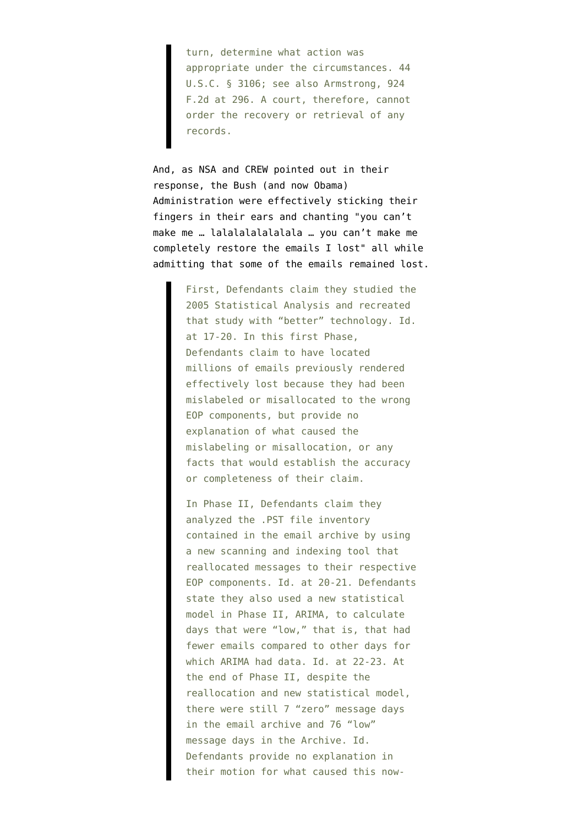turn, determine what action was appropriate under the circumstances. 44 U.S.C. § 3106; see also Armstrong, 924 F.2d at 296. A court, therefore, cannot order the recovery or retrieval of any records.

And, as NSA and CREW [pointed out](http://www.gwu.edu/~nsarchiv/news/20090221/opposition_mtd.pdf) in their response, the Bush (and now Obama) Administration were effectively sticking their fingers in their ears and chanting "you can't make me … lalalalalalalala … you can't make me completely restore the emails I lost" all while admitting that some of the emails remained lost.

> First, Defendants claim they studied the 2005 Statistical Analysis and recreated that study with "better" technology. Id. at 17-20. In this first Phase, Defendants claim to have located millions of emails previously rendered effectively lost because they had been mislabeled or misallocated to the wrong EOP components, but provide no explanation of what caused the mislabeling or misallocation, or any facts that would establish the accuracy or completeness of their claim.

> In Phase II, Defendants claim they analyzed the .PST file inventory contained in the email archive by using a new scanning and indexing tool that reallocated messages to their respective EOP components. Id. at 20-21. Defendants state they also used a new statistical model in Phase II, ARIMA, to calculate days that were "low," that is, that had fewer emails compared to other days for which ARIMA had data. Id. at 22-23. At the end of Phase II, despite the reallocation and new statistical model, there were still 7 "zero" message days in the email archive and 76 "low" message days in the Archive. Id. Defendants provide no explanation in their motion for what caused this now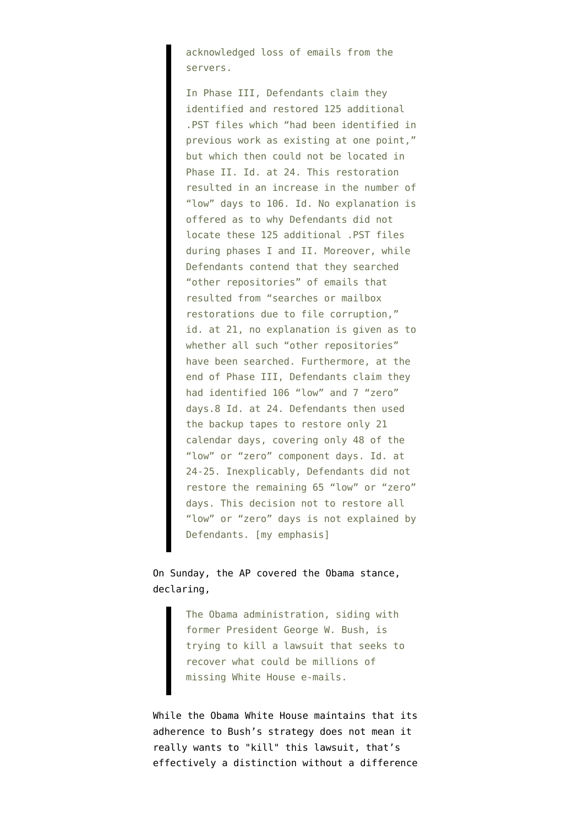acknowledged loss of emails from the servers.

In Phase III, Defendants claim they identified and restored 125 additional .PST files which "had been identified in previous work as existing at one point," but which then could not be located in Phase II. Id. at 24. This restoration resulted in an increase in the number of "low" days to 106. Id. No explanation is offered as to why Defendants did not locate these 125 additional .PST files during phases I and II. Moreover, while Defendants contend that they searched "other repositories" of emails that resulted from "searches or mailbox restorations due to file corruption," id. at 21, no explanation is given as to whether all such "other repositories" have been searched. Furthermore, at the end of Phase III, Defendants claim they had identified 106 "low" and 7 "zero" days.8 Id. at 24. Defendants then used the backup tapes to restore only 21 calendar days, covering only 48 of the "low" or "zero" component days. Id. at 24-25. Inexplicably, Defendants did not restore the remaining 65 "low" or "zero" days. This decision not to restore all "low" or "zero" days is not explained by Defendants. [my emphasis]

On Sunday, the AP covered the Obama stance, [declaring,](http://www.google.com/hostednews/ap/article/ALeqM5hsG0My2Q3Eu9Sj2PSupnj4xeQXxAD96G4J9G0)

> The Obama administration, siding with former President George W. Bush, is trying to kill a lawsuit that seeks to recover what could be millions of missing White House e-mails.

While the Obama White House maintains that its adherence to Bush's strategy does not mean it really wants to "kill" this lawsuit, that's effectively a distinction without a difference